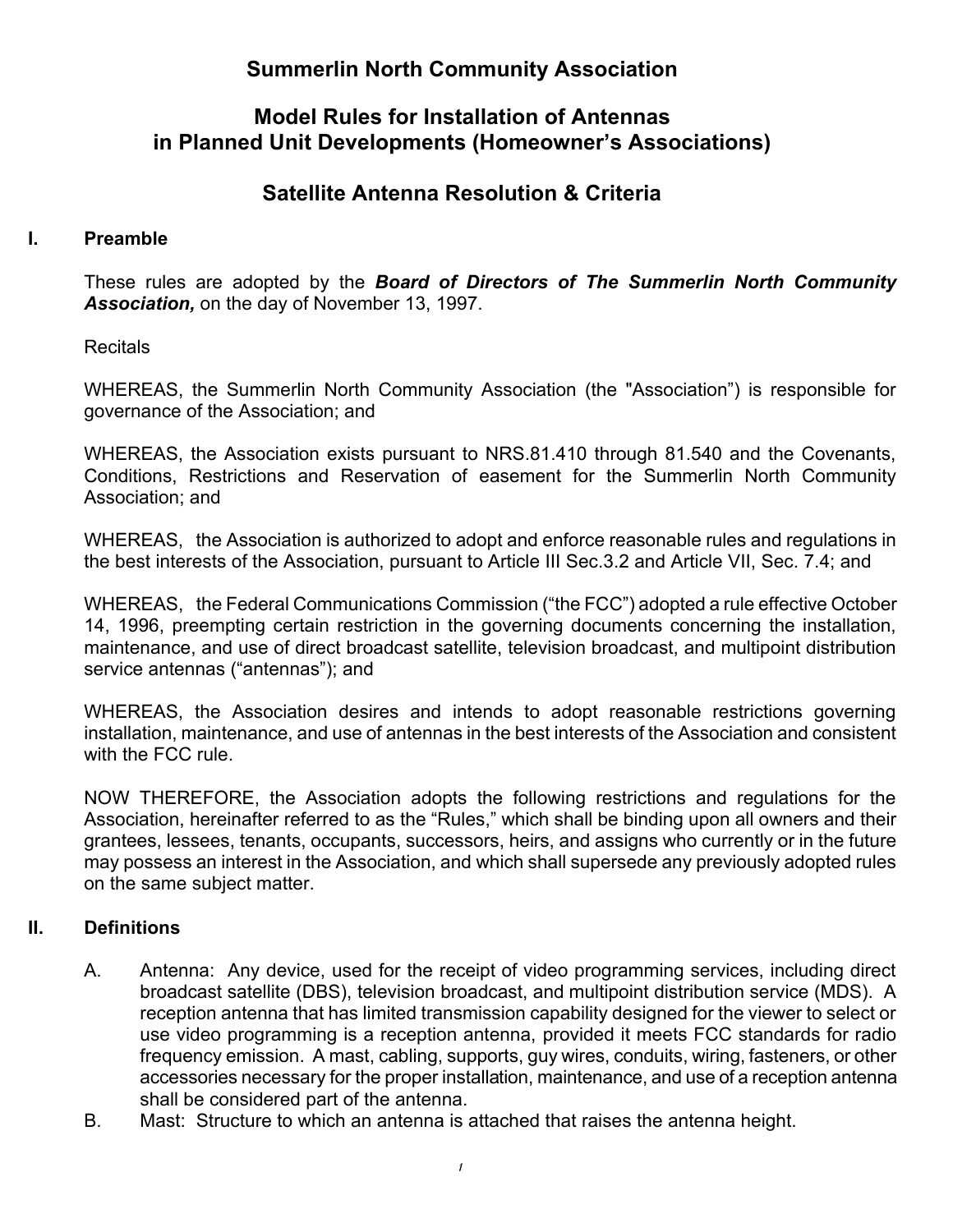# **Summerlin North Community Association**

# **Model Rules for Installation of Antennas in Planned Unit Developments (Homeowner's Associations)**

# **Satellite Antenna Resolution & Criteria**

#### **I. Preamble**

These rules are adopted by the *Board of Directors of The Summerlin North Community Association,* on the day of November 13, 1997.

**Recitals** 

WHEREAS, the Summerlin North Community Association (the "Association") is responsible for governance of the Association; and

WHEREAS, the Association exists pursuant to NRS.81.410 through 81.540 and the Covenants, Conditions, Restrictions and Reservation of easement for the Summerlin North Community Association; and

WHEREAS, the Association is authorized to adopt and enforce reasonable rules and regulations in the best interests of the Association, pursuant to Article III Sec.3.2 and Article VII, Sec. 7.4; and

WHEREAS, the Federal Communications Commission ("the FCC") adopted a rule effective October 14, 1996, preempting certain restriction in the governing documents concerning the installation, maintenance, and use of direct broadcast satellite, television broadcast, and multipoint distribution service antennas ("antennas"); and

WHEREAS, the Association desires and intends to adopt reasonable restrictions governing installation, maintenance, and use of antennas in the best interests of the Association and consistent with the FCC rule.

NOW THEREFORE, the Association adopts the following restrictions and regulations for the Association, hereinafter referred to as the "Rules," which shall be binding upon all owners and their grantees, lessees, tenants, occupants, successors, heirs, and assigns who currently or in the future may possess an interest in the Association, and which shall supersede any previously adopted rules on the same subject matter.

## **II. Definitions**

- A. Antenna: Any device, used for the receipt of video programming services, including direct broadcast satellite (DBS), television broadcast, and multipoint distribution service (MDS). A reception antenna that has limited transmission capability designed for the viewer to select or use video programming is a reception antenna, provided it meets FCC standards for radio frequency emission. A mast, cabling, supports, guy wires, conduits, wiring, fasteners, or other accessories necessary for the proper installation, maintenance, and use of a reception antenna shall be considered part of the antenna.
- B. Mast: Structure to which an antenna is attached that raises the antenna height.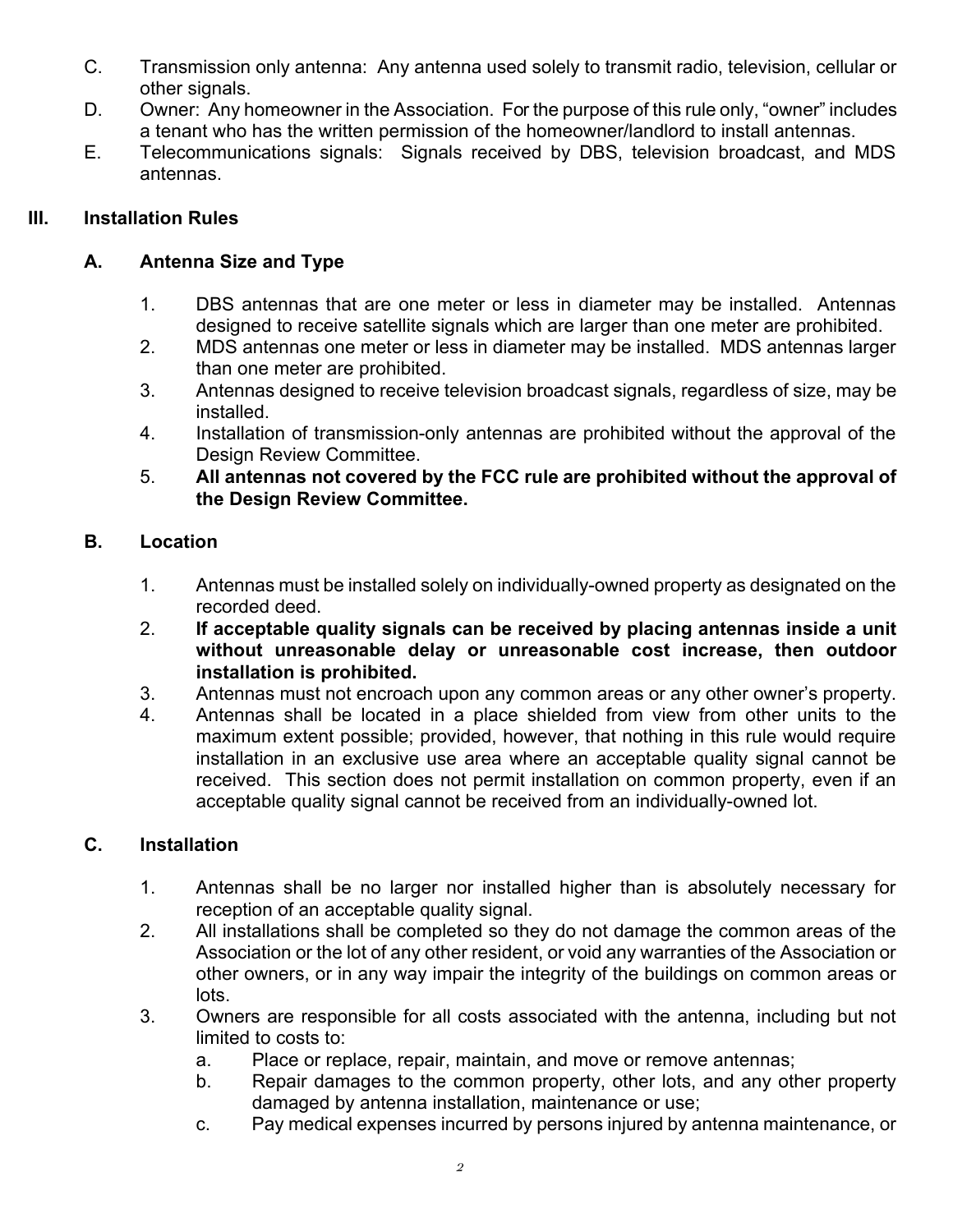- C. Transmission only antenna: Any antenna used solely to transmit radio, television, cellular or other signals.
- D. Owner: Any homeowner in the Association. For the purpose of this rule only, "owner" includes a tenant who has the written permission of the homeowner/landlord to install antennas.
- E. Telecommunications signals: Signals received by DBS, television broadcast, and MDS antennas.

## **III. Installation Rules**

## **A. Antenna Size and Type**

- 1. DBS antennas that are one meter or less in diameter may be installed. Antennas designed to receive satellite signals which are larger than one meter are prohibited.
- 2. MDS antennas one meter or less in diameter may be installed. MDS antennas larger than one meter are prohibited.
- 3. Antennas designed to receive television broadcast signals, regardless of size, may be installed.
- 4. Installation of transmission-only antennas are prohibited without the approval of the Design Review Committee.
- 5. **All antennas not covered by the FCC rule are prohibited without the approval of the Design Review Committee.**

## **B. Location**

- 1. Antennas must be installed solely on individually-owned property as designated on the recorded deed.
- 2. **If acceptable quality signals can be received by placing antennas inside a unit without unreasonable delay or unreasonable cost increase, then outdoor installation is prohibited.**
- 3. Antennas must not encroach upon any common areas or any other owner's property.
- 4. Antennas shall be located in a place shielded from view from other units to the maximum extent possible; provided, however, that nothing in this rule would require installation in an exclusive use area where an acceptable quality signal cannot be received. This section does not permit installation on common property, even if an acceptable quality signal cannot be received from an individually-owned lot.

## **C. Installation**

- 1. Antennas shall be no larger nor installed higher than is absolutely necessary for reception of an acceptable quality signal.
- 2. All installations shall be completed so they do not damage the common areas of the Association or the lot of any other resident, or void any warranties of the Association or other owners, or in any way impair the integrity of the buildings on common areas or lots.
- 3. Owners are responsible for all costs associated with the antenna, including but not limited to costs to:
	- a. Place or replace, repair, maintain, and move or remove antennas;
	- b. Repair damages to the common property, other lots, and any other property damaged by antenna installation, maintenance or use;
	- c. Pay medical expenses incurred by persons injured by antenna maintenance, or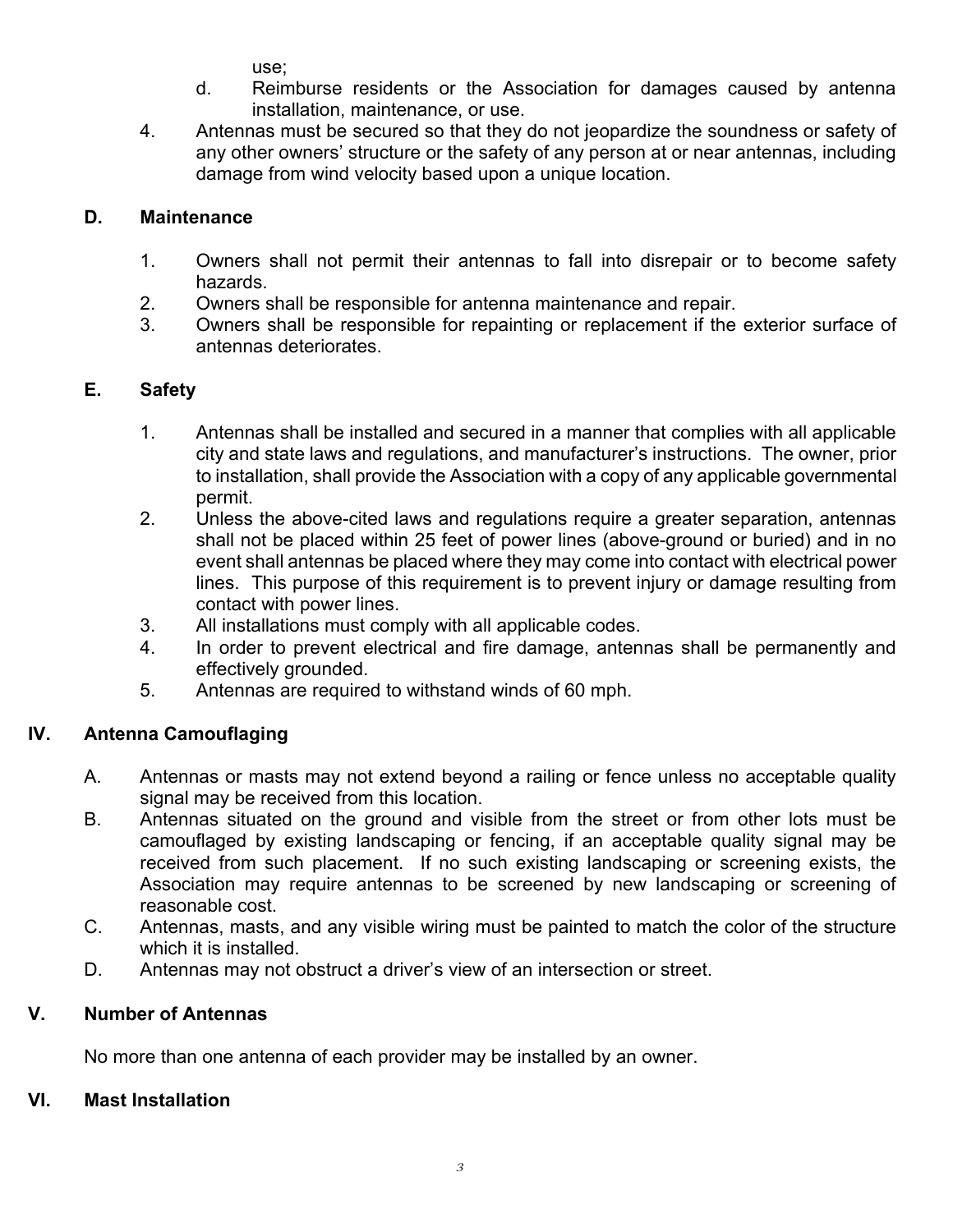use;

- d. Reimburse residents or the Association for damages caused by antenna installation, maintenance, or use.
- 4. Antennas must be secured so that they do not jeopardize the soundness or safety of any other owners' structure or the safety of any person at or near antennas, including damage from wind velocity based upon a unique location.

## **D. Maintenance**

- 1. Owners shall not permit their antennas to fall into disrepair or to become safety hazards.
- 2. Owners shall be responsible for antenna maintenance and repair.
- 3. Owners shall be responsible for repainting or replacement if the exterior surface of antennas deteriorates.

## **E. Safety**

- 1. Antennas shall be installed and secured in a manner that complies with all applicable city and state laws and regulations, and manufacturer's instructions. The owner, prior to installation, shall provide the Association with a copy of any applicable governmental permit.
- 2. Unless the above-cited laws and regulations require a greater separation, antennas shall not be placed within 25 feet of power lines (above-ground or buried) and in no event shall antennas be placed where they may come into contact with electrical power lines. This purpose of this requirement is to prevent injury or damage resulting from contact with power lines.
- 3. All installations must comply with all applicable codes.
- 4. In order to prevent electrical and fire damage, antennas shall be permanently and effectively grounded.
- 5. Antennas are required to withstand winds of 60 mph.

## **IV. Antenna Camouflaging**

- A. Antennas or masts may not extend beyond a railing or fence unless no acceptable quality signal may be received from this location.
- B. Antennas situated on the ground and visible from the street or from other lots must be camouflaged by existing landscaping or fencing, if an acceptable quality signal may be received from such placement. If no such existing landscaping or screening exists, the Association may require antennas to be screened by new landscaping or screening of reasonable cost.
- C. Antennas, masts, and any visible wiring must be painted to match the color of the structure which it is installed.
- D. Antennas may not obstruct a driver's view of an intersection or street.

## **V. Number of Antennas**

No more than one antenna of each provider may be installed by an owner.

## **VI. Mast Installation**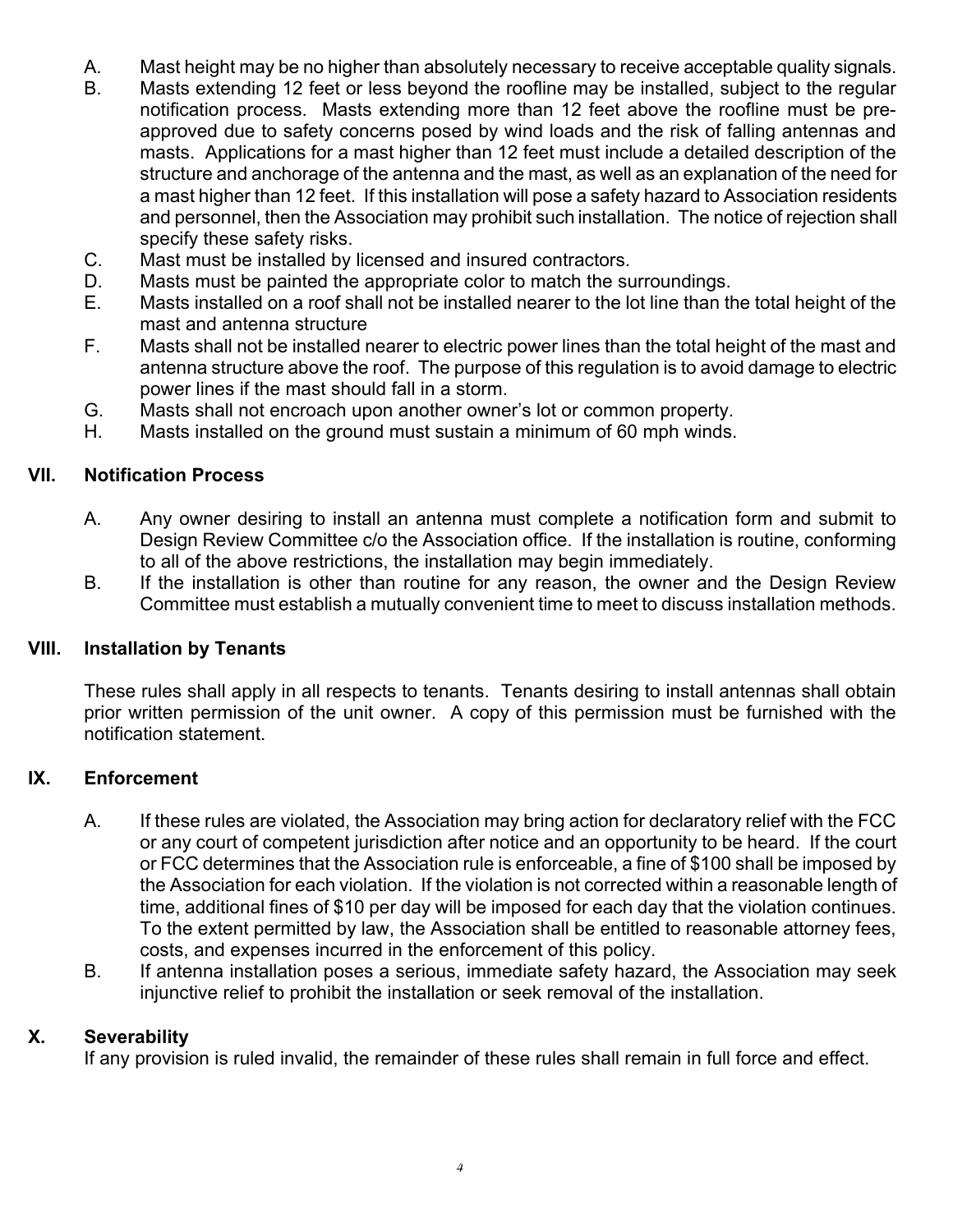- A. Mast height may be no higher than absolutely necessary to receive acceptable quality signals.
- B. Masts extending 12 feet or less beyond the roofline may be installed, subject to the regular notification process. Masts extending more than 12 feet above the roofline must be preapproved due to safety concerns posed by wind loads and the risk of falling antennas and masts. Applications for a mast higher than 12 feet must include a detailed description of the structure and anchorage of the antenna and the mast, as well as an explanation of the need for a mast higher than 12 feet. If this installation will pose a safety hazard to Association residents and personnel, then the Association may prohibit such installation. The notice of rejection shall specify these safety risks.
- C. Mast must be installed by licensed and insured contractors.
- D. Masts must be painted the appropriate color to match the surroundings.
- E. Masts installed on a roof shall not be installed nearer to the lot line than the total height of the mast and antenna structure
- F. Masts shall not be installed nearer to electric power lines than the total height of the mast and antenna structure above the roof. The purpose of this regulation is to avoid damage to electric power lines if the mast should fall in a storm.
- G. Masts shall not encroach upon another owner's lot or common property.
- H. Masts installed on the ground must sustain a minimum of 60 mph winds.

#### **VII. Notification Process**

- A. Any owner desiring to install an antenna must complete a notification form and submit to Design Review Committee c/o the Association office. If the installation is routine, conforming to all of the above restrictions, the installation may begin immediately.
- B. If the installation is other than routine for any reason, the owner and the Design Review Committee must establish a mutually convenient time to meet to discuss installation methods.

## **VIII. Installation by Tenants**

These rules shall apply in all respects to tenants. Tenants desiring to install antennas shall obtain prior written permission of the unit owner. A copy of this permission must be furnished with the notification statement.

#### **IX. Enforcement**

- A. If these rules are violated, the Association may bring action for declaratory relief with the FCC or any court of competent jurisdiction after notice and an opportunity to be heard. If the court or FCC determines that the Association rule is enforceable, a fine of \$100 shall be imposed by the Association for each violation. If the violation is not corrected within a reasonable length of time, additional fines of \$10 per day will be imposed for each day that the violation continues. To the extent permitted by law, the Association shall be entitled to reasonable attorney fees, costs, and expenses incurred in the enforcement of this policy.
- B. If antenna installation poses a serious, immediate safety hazard, the Association may seek injunctive relief to prohibit the installation or seek removal of the installation.

#### **X. Severability**

If any provision is ruled invalid, the remainder of these rules shall remain in full force and effect.